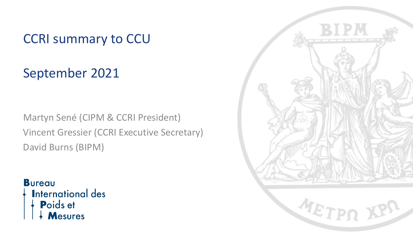### CCRI summary to CCU

September 2021

Martyn Sené (CIPM & CCRI President) Vincent Gressier (CCRI Executive Secretary) David Burns (BIPM)

#### **Bureau**

**International des** 

Poids et Mesures METPO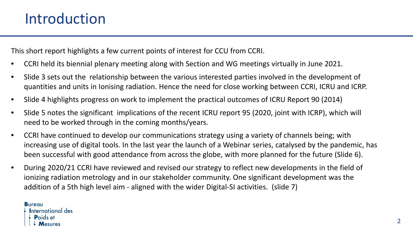This short report highlights a few current points of interest for CCU from CCRI.

- CCRI held its biennial plenary meeting along with Section and WG meetings virtually in June 2021.
- Slide 3 sets out the relationship between the various interested parties involved in the development of quantities and units in Ionising radiation. Hence the need for close working between CCRI, ICRU and ICRP.
- Slide 4 highlights progress on work to implement the practical outcomes of ICRU Report 90 (2014)
- Slide 5 notes the significant implications of the recent ICRU report 95 (2020, joint with ICRP), which will need to be worked through in the coming months/years.
- CCRI have continued to develop our communications strategy using a variety of channels being; with increasing use of digital tools. In the last year the launch of a Webinar series, catalysed by the pandemic, has been successful with good attendance from across the globe, with more planned for the future (Slide 6).
- During 2020/21 CCRI have reviewed and revised our strategy to reflect new developments in the field of ionizing radiation metrology and in our stakeholder community. One significant development was the addition of a 5th high level aim - aligned with the wider Digital-SI activities. (slide 7)

**Bureau International des Poids et**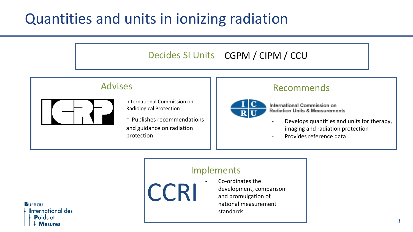## Quantities and units in ionizing radiation



national measurement

standards

**Bureau International des** Poids et **Mesures**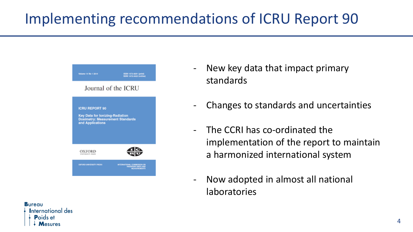# Implementing recommendations of ICRU Report 90

| Volume 14 No.1 3014                                                                                              | ISSN 1473-9081 (print)<br><b>ISSN 1472-3422 (ardinal)</b>      |
|------------------------------------------------------------------------------------------------------------------|----------------------------------------------------------------|
| Journal of the ICRU                                                                                              |                                                                |
| <b>ICRU REPORT 90</b><br>Key Data for Ionizing-Radiation<br>Dosimetry: Measurement Standards<br>and Applications |                                                                |
| OXFORD<br><b>UNIVERSITY PRASS</b>                                                                                |                                                                |
| ORFORD UNIVERSITY PRESS                                                                                          | RO ROCHARDO, JANOTANISTA<br>DAN ZIBRA HOMALIAN<br>ETA DI DANJE |

- New key data that impact primary standards
- Changes to standards and uncertainties
- The CCRI has co-ordinated the implementation of the report to maintain a harmonized international system
- Now adopted in almost all national laboratories

**Bureau International des**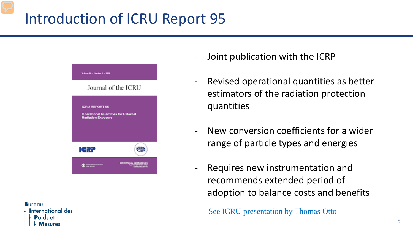### Introduction of ICRU Report 95



**Bureau International des P**oids et

- Joint publication with the ICRP
- Revised operational quantities as better estimators of the radiation protection quantities
- New conversion coefficients for a wider range of particle types and energies
- Requires new instrumentation and recommends extended period of adoption to balance costs and benefits

See ICRU presentation by Thomas Otto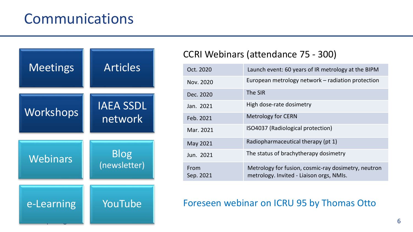### Communications



#### CCRI Webinars (attendance 75 - 300)

| Oct. 2020         | Launch event: 60 years of IR metrology at the BIPM                                              |
|-------------------|-------------------------------------------------------------------------------------------------|
| Nov. 2020         | European metrology network - radiation protection                                               |
| Dec. 2020         | The SIR                                                                                         |
| Jan. 2021         | High dose-rate dosimetry                                                                        |
| Feb. 2021         | <b>Metrology for CERN</b>                                                                       |
| Mar. 2021         | ISO4037 (Radiological protection)                                                               |
| May 2021          | Radiopharmaceutical therapy (pt 1)                                                              |
| Jun. 2021         | The status of brachytherapy dosimetry                                                           |
| From<br>Sep. 2021 | Metrology for fusion, cosmic-ray dosimetry, neutron<br>metrology. Invited - Liaison orgs, NMIs. |

#### Foreseen webinar on ICRU 95 by Thomas Otto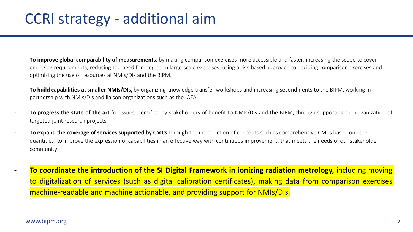### CCRI strategy - additional aim

- To improve global comparability of measurements, by making comparison exercises more accessible and faster, increasing the scope to cover emerging requirements, reducing the need for long-term large-scale exercises, using a risk-based approach to deciding comparison exercises and optimizing the use of resources at NMIs/DIs and the BIPM.
- To build capabilities at smaller NMIs/DIs, by organizing knowledge transfer workshops and increasing secondments to the BIPM, working in partnership with NMIs/DIs and liaison organizations such as the IAEA.
- **To progress the state of the art** for issues identified by stakeholders of benefit to NMIs/DIs and the BIPM, through supporting the organization of targeted joint research projects.
- To expand the coverage of services supported by CMCs through the introduction of concepts such as comprehensive CMCs based on core quantities, to improve the expression of capabilities in an effective way with continuous improvement, that meets the needs of our stakeholder community.
	- **To coordinate the introduction of the SI Digital Framework in ionizing radiation metrology,** including moving to digitalization of services (such as digital calibration certificates), making data from comparison exercises machine-readable and machine actionable, and providing support for NMIs/DIs.